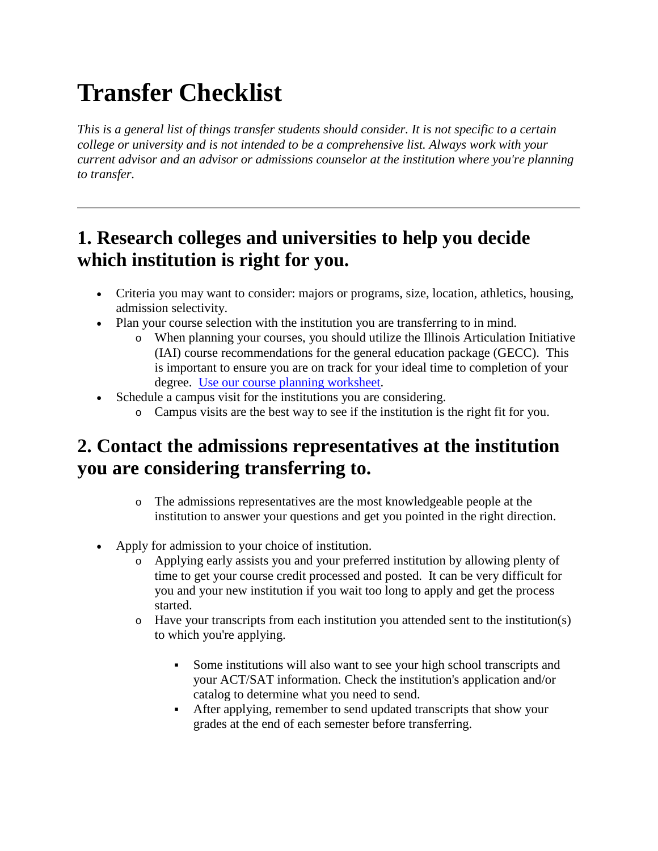# **Transfer Checklist**

*This is a general list of things transfer students should consider. It is not specific to a certain college or university and is not intended to be a comprehensive list. Always work with your current advisor and an advisor or admissions counselor at the institution where you're planning to transfer.*

#### **1. Research colleges and universities to help you decide which institution is right for you.**

- Criteria you may want to consider: majors or programs, size, location, athletics, housing, admission selectivity.
- Plan your course selection with the institution you are transferring to in mind.
	- o When planning your courses, you should utilize the Illinois Articulation Initiative (IAI) course recommendations for the general education package (GECC). This is important to ensure you are on track for your ideal time to completion of your degree. [Use our course planning worksheet.](http://iaiweb02-d/courses/worksheet.php)
- Schedule a campus visit for the institutions you are considering.
	- o Campus visits are the best way to see if the institution is the right fit for you.

#### **2. Contact the admissions representatives at the institution you are considering transferring to.**

- o The admissions representatives are the most knowledgeable people at the institution to answer your questions and get you pointed in the right direction.
- Apply for admission to your choice of institution.
	- o Applying early assists you and your preferred institution by allowing plenty of time to get your course credit processed and posted. It can be very difficult for you and your new institution if you wait too long to apply and get the process started.
	- o Have your transcripts from each institution you attended sent to the institution(s) to which you're applying.
		- Some institutions will also want to see your high school transcripts and your ACT/SAT information. Check the institution's application and/or catalog to determine what you need to send.
		- After applying, remember to send updated transcripts that show your grades at the end of each semester before transferring.